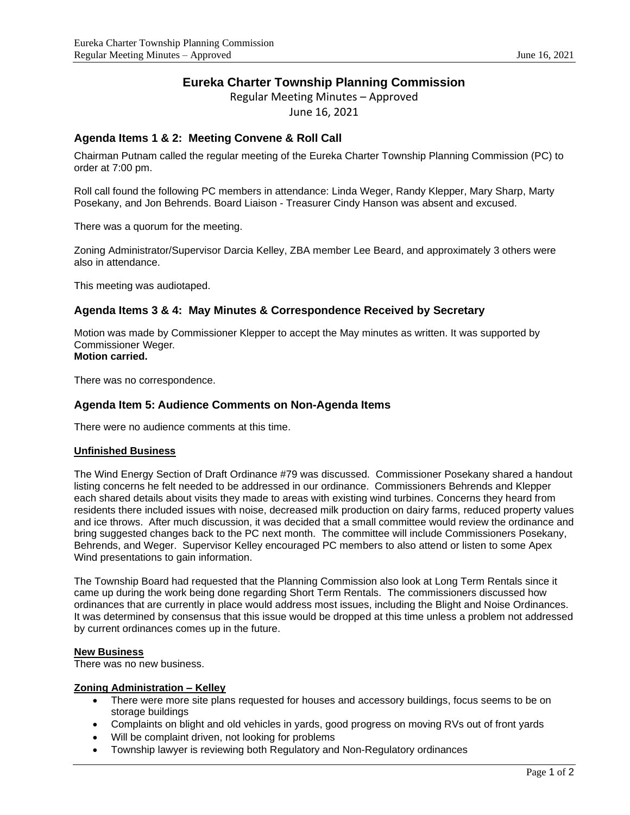# **Eureka Charter Township Planning Commission**

Regular Meeting Minutes – Approved

June 16, 2021

# **Agenda Items 1 & 2: Meeting Convene & Roll Call**

Chairman Putnam called the regular meeting of the Eureka Charter Township Planning Commission (PC) to order at 7:00 pm.

Roll call found the following PC members in attendance: Linda Weger, Randy Klepper, Mary Sharp, Marty Posekany, and Jon Behrends. Board Liaison - Treasurer Cindy Hanson was absent and excused.

There was a quorum for the meeting.

Zoning Administrator/Supervisor Darcia Kelley, ZBA member Lee Beard, and approximately 3 others were also in attendance.

This meeting was audiotaped.

## **Agenda Items 3 & 4: May Minutes & Correspondence Received by Secretary**

Motion was made by Commissioner Klepper to accept the May minutes as written. It was supported by Commissioner Weger. **Motion carried.**

There was no correspondence.

### **Agenda Item 5: Audience Comments on Non-Agenda Items**

There were no audience comments at this time.

#### **Unfinished Business**

The Wind Energy Section of Draft Ordinance #79 was discussed. Commissioner Posekany shared a handout listing concerns he felt needed to be addressed in our ordinance. Commissioners Behrends and Klepper each shared details about visits they made to areas with existing wind turbines. Concerns they heard from residents there included issues with noise, decreased milk production on dairy farms, reduced property values and ice throws. After much discussion, it was decided that a small committee would review the ordinance and bring suggested changes back to the PC next month. The committee will include Commissioners Posekany, Behrends, and Weger. Supervisor Kelley encouraged PC members to also attend or listen to some Apex Wind presentations to gain information.

The Township Board had requested that the Planning Commission also look at Long Term Rentals since it came up during the work being done regarding Short Term Rentals. The commissioners discussed how ordinances that are currently in place would address most issues, including the Blight and Noise Ordinances. It was determined by consensus that this issue would be dropped at this time unless a problem not addressed by current ordinances comes up in the future.

#### **New Business**

There was no new business.

#### **Zoning Administration – Kelley**

- There were more site plans requested for houses and accessory buildings, focus seems to be on storage buildings
- Complaints on blight and old vehicles in yards, good progress on moving RVs out of front yards
- Will be complaint driven, not looking for problems
- Township lawyer is reviewing both Regulatory and Non-Regulatory ordinances